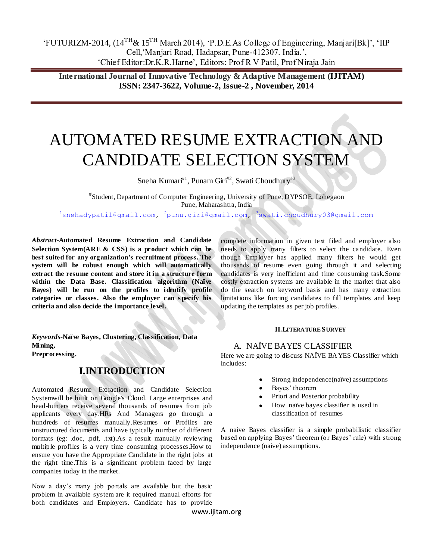**International Journal of Innovative Technology & Adaptive Management (IJITAM) ISSN: 2347-3622, Volume-2, Issue-2 , November, 2014**

# AUTOMATED RESUME EXTRACTION AND CANDIDATE SELECTION SYSTEM

Sneha Kumari<sup>#1</sup>, Punam Giri<sup>#2</sup>, Swati Choudhury<sup>#3</sup>

# Student, Department of Computer Engineering, University of Pune, DYPSOE, Lohegaon Pune, Maharashtra, India

<sup>1</sup>[snehadypatil@gmail.com,](mailto:1snehadypatil@gmail.com) <sup>2</sup>[punu.giri@gmail.com,](mailto:2punu.giri@gmail.com) <sup>3</sup>[swati.choudhury03@gmail.com](mailto:3swati.choudhury03@gmail.com)

*Abstract-***Automated Resume Extraction and Candidate Selection System(ARE & CSS) is a product which can be best suited for any organization's recruitment process. The system will be robust enough which will automatically extract the resume content and store it in a structure form within the Data Base. Classification algorithm (Naïve Bayes) will be run on the profiles to identify profile categories or classes. Also the employer can s pecify his criteria and also decide the importance level.** 

*Keywords-***Naïve Bayes, Clustering, Classification, Data Mining, Preprocessing.**

# **I.INTRODUCTION**

Automated Resume Extraction and Candidate Selection Systemwill be built on Google's Cloud. Large enterprises and head-hunters receive several thousands of resumes from job applicants every day.HRs And Managers go through a hundreds of resumes manually.Resumes or Profiles are unstructured documents and have typically number of different formats (eg: .doc, .pdf, .txt).As a result manually reviewing multiple profiles is a very time consuming processes.How to ensure you have the Appropriate Candidate in the right jobs at the right time.This is a significant problem faced by large companies today in the market.

Now a day's many job portals are available but the basic problem in available system are it required manual efforts for both candidates and Employers. Candidate has to provide complete information in given text filed and employer also needs to apply many filters to select the candidate. Even though Employer has applied many filters he would get thousands of resume even going through it and selecting candidates is very inefficient and time consuming task.Some costly extraction systems are available in the market that also do the search on keyword basis and has many extraction limitations like forcing candidates to fill templates and keep updating the templates as per job profiles.

#### **II.LITERATURE SURVEY**

#### A. NAÏVE BAYES CLASSIFIER

Here we are going to discuss NAÏVE BAYES Classifier which includes:

- Strong independence(naïve) assumptions
- Bayes' theorem
- Priori and Posterior probability
- How naïve bayes classifier is used in classification of resumes

A naive Bayes classifier is a simple probabilistic classifier based on applying Bayes' theorem (or Bayes' rule) with strong independence (naive) assumptions.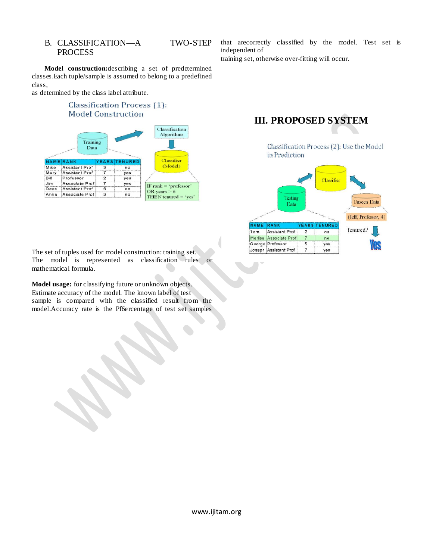#### B. CLASSIFICATION—A TWO-STEP PROCESS

**Model construction:**describing a set of predetermined classes.Each tuple/sample is assumed to belong to a predefined class,

as determined by the class label attribute.

#### **Classification Process** (1): **Model Construction**

|                    | Training<br>Data |                    |            | Classification<br>Algorithms              |
|--------------------|------------------|--------------------|------------|-------------------------------------------|
|                    | RANK             | <b>YEARS TENUR</b> |            | Classifier                                |
|                    | Assistant Prof   | я                  | no         | (Model)                                   |
| Mike               |                  |                    |            |                                           |
| Mary               | Assistant Prof   |                    | <b>VGS</b> |                                           |
| 日計                 | Professor        | 2                  | ves        |                                           |
|                    | Associate Prof:  |                    | yes        |                                           |
| <b>Jim</b><br>Dave | Assistant Prof   | B                  | nn         | IF rank $=$ 'professor'<br>OR years $> 6$ |

that arecorrectly classified by the model. Test set is independent of

training set, otherwise over-fitting will occur.

# **III. PROPOSED SYSTEM**

Classification Process (2): Use the Model in Prediction



The set of tuples used for model construction: training set. The model is represented as classification rules or mathematical formula.

**Model usage:** for classifying future or unknown objects. Estimate accuracy of the model. The known label of test sample is compared with the classified result from the model.Accuracy rate is the Pf6ercentage of test set samples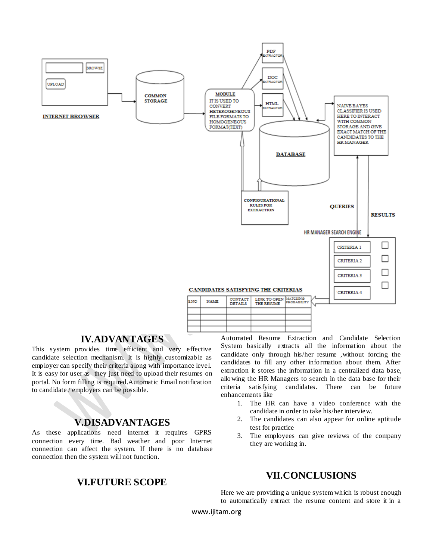

#### **IV.ADVANTAGES**

This system provides time efficient and very effective candidate selection mechanism. It is highly customizable as employer can specify their criteria along with importance level. It is easy for user as they just need to upload their resumes on portal. No form filling is required.Automatic Email notification to candidate / employers can be possible.

#### **V.DISADVANTAGES**

As these applications need internet it requires GPRS connection every time. Bad weather and poor Internet connection can affect the system. If there is no database connection then the system will not function.

### **VI.FUTURE SCOPE**

Automated Resume Extraction and Candidate Selection System basically extracts all the information about the candidate only through his/her resume ,without forcing the candidates to fill any other information about them. After extraction it stores the information in a centralized data base, allowing the HR Managers to search in the data base for their criteria satisfying candidates. There can be future enhancements like

- 1. The HR can have a video conference with the candidate in order to take his/her interview.
- 2. The candidates can also appear for online aptitude test for practice
- 3. The employees can give reviews of the company they are working in.

# **VII.CONCLUSIONS**

Here we are providing a unique system which is robust enough to automatically extract the resume content and store it in a

www.ijitam.org